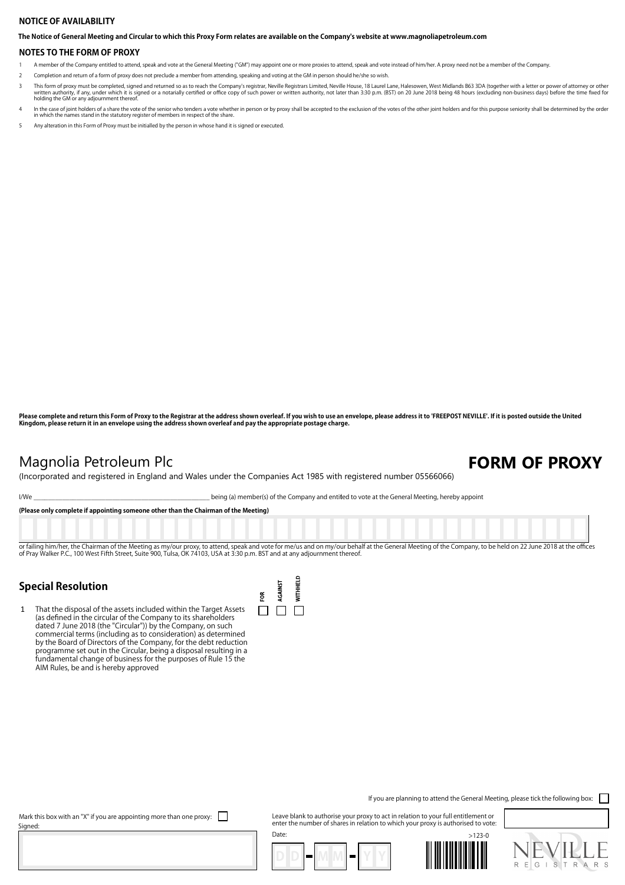### **NOTICE OF AVAILABILITY**

**The Notice of General Meeting and Circular to which this Proxy Form relates are available on the Company's website at www.magnoliapetroleum.com**

#### **NOTES TO THE FORM OF PROXY**

- A member of the Company entitled to attend, speak and vote at the General Meeting ("GM") may appoint one or more proxies to attend, speak and vote instead of him/her. A proxy need not be a member of the Company.
- 2 Completion and return of a form of proxy does not preclude a member from attending, speaking and voting at the GM in person should he/she so wish.
- This form of proxy must be completed, signed and returned so as to reach the Company's registrar, Neville Registrars Limited, Neville House, 18 Laurel Lane, Halesowen, West Midlands B63 3DA (together with a letter or power
- In the case of joint holders of a share the vote of the senior who tenders a vote whether in person or by proxy shall be accepted to the exclusion of the votes of the other joint holders and for this purpose seniority shal
- 5 Any alteration in this Form of Proxy must be initialled by the person in whose hand it is signed or executed.

**Please complete and return this Form of Proxy to the Registrar at the address shown overleaf. If you wish to use an envelope, please address it to 'FREEPOST NEVILLE'. If it is posted outside the United Kingdom, please return it in an envelope using the address shown overleaf and pay the appropriate postage charge.**

## **Magnolia Petroleum Plc FORM OF PROXY**

(Incorporated and registered in England and Wales under the Companies Act 1985 with registered number 05566066)

I/We \_\_\_\_\_\_\_\_\_\_\_\_\_\_\_\_\_\_\_\_\_\_\_\_\_\_\_\_\_\_\_\_\_\_\_\_\_\_\_\_\_\_\_\_\_\_\_\_\_ being (a) member(s) of the Company and entitled to vote at the General Meeting, hereby appoint

**(Please only complete if appointing someone other than the Chairman of the Meeting)**

or failing him/her, the Chairman of the Meeting as my/our proxy, to attend, speak and vote for me/us and on my/our behalf at the General Meeting of the Company, to be held on 22 June 2018 at the offices<br>of Pray Walker P.C.

 $\sim$ 

### **Special Resolution**

1 That the disposal of the assets included within the Target Assets (as defined in the circular of the Company to its shareholders dated 7 June 2018 (the "Circular")) by the Company, on such commercial terms (including as to consideration) as determined by the Board of Directors of the Company, for the debt reduction programme set out in the Circular, being a disposal resulting in a fundamental change of business for the purposes of Rule 15 the AIM Rules, be and is hereby approved

| FOR | <b>AGAINST</b> | <b>WITHHEI</b> |
|-----|----------------|----------------|
|     |                |                |

If you are planning to attend the General Meeting, please tick the following box:  $\Box$ 

Mark this box with an "X" if you are appointing more than one proxy:  $\Box$ Signed:

Leave blank to authorise your proxy to act in relation to your full entitlement or enter the number of shares in relation to which your proxy is authorised to vote: Date: